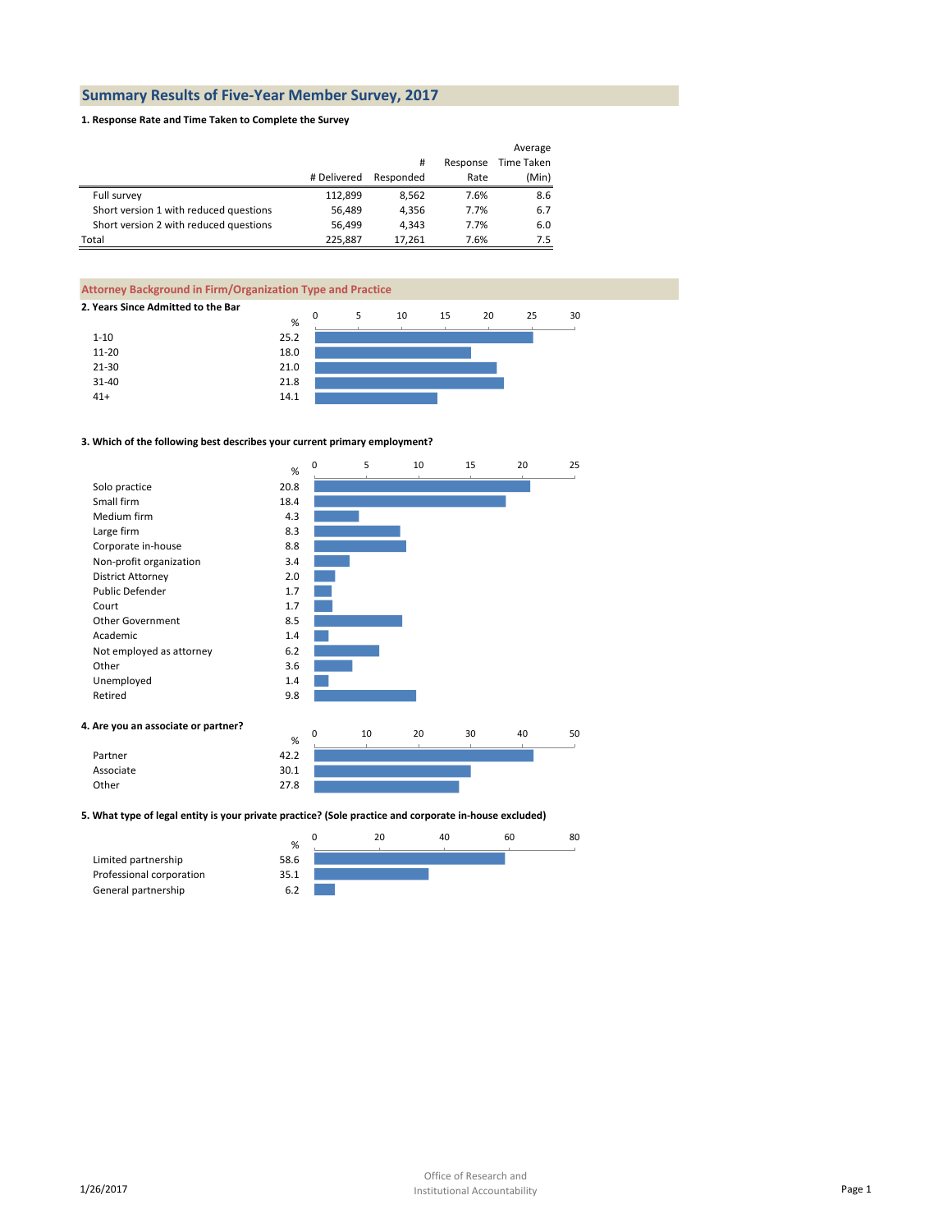# **Summary Results of Five-Year Member Survey, 2017**

# **1. Response Rate and Time Taken to Complete the Survey**

|                                        |             |           |          | Average    |
|----------------------------------------|-------------|-----------|----------|------------|
|                                        |             | #         | Response | Time Taken |
|                                        | # Delivered | Responded | Rate     | (Min)      |
| Full survey                            | 112.899     | 8,562     | 7.6%     | 8.6        |
| Short version 1 with reduced questions | 56,489      | 4.356     | 7.7%     | 6.7        |
| Short version 2 with reduced questions | 56.499      | 4.343     | 7.7%     | 6.0        |
| Total                                  | 225.887     | 17.261    | 7.6%     | 7.5        |

# **Attorney Background in Firm/Organization Type and Practice**

| 2. Years Since Admitted to the Bar |      |   |   |    |    |    |    |    |
|------------------------------------|------|---|---|----|----|----|----|----|
|                                    | %    | 0 | 5 | 10 | 15 | 20 | 25 | 30 |
| $1 - 10$                           | 25.2 |   |   |    |    |    |    |    |
| $11 - 20$                          | 18.0 |   |   |    |    |    |    |    |
| $21 - 30$                          | 21.0 |   |   |    |    |    |    |    |
| $31 - 40$                          | 21.8 |   |   |    |    |    |    |    |
| $41+$                              | 14.1 |   |   |    |    |    |    |    |
|                                    |      |   |   |    |    |    |    |    |

#### **3. Which of the following best describes your current primary employment?**



#### **5. What type of legal entity is your private practice? (Sole practice and corporate in-house excluded)**

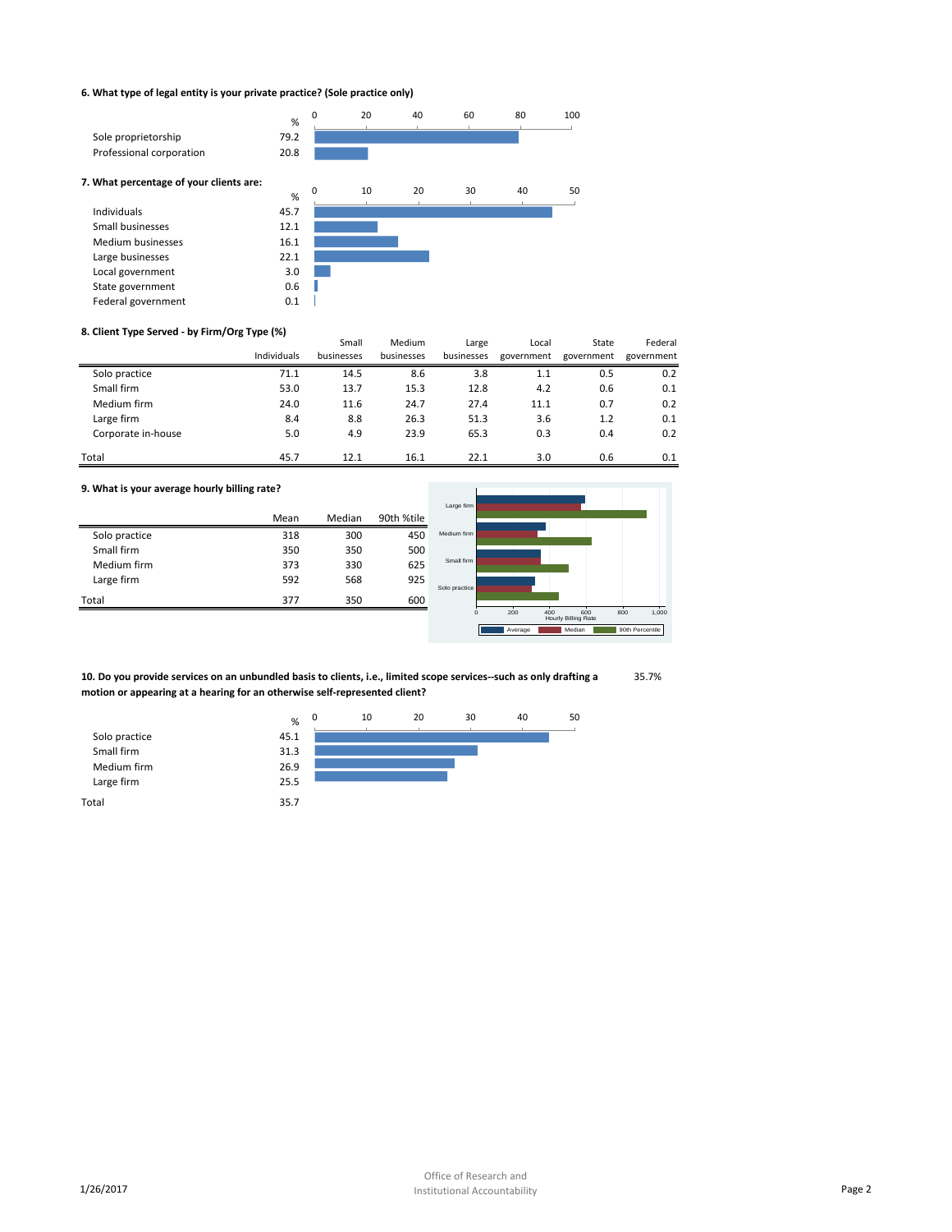# **6. What type of legal entity is your private practice? (Sole practice only)**



#### **8. Client Type Served - by Firm/Org Type (%)**

|                    |             | Small      | Medium     | Large      | Local      | State      | Federal    |
|--------------------|-------------|------------|------------|------------|------------|------------|------------|
|                    | Individuals | businesses | businesses | businesses | government | government | government |
| Solo practice      | 71.1        | 14.5       | 8.6        | 3.8        | 1.1        | 0.5        | 0.2        |
| Small firm         | 53.0        | 13.7       | 15.3       | 12.8       | 4.2        | 0.6        | 0.1        |
| Medium firm        | 24.0        | 11.6       | 24.7       | 27.4       | 11.1       | 0.7        | 0.2        |
| Large firm         | 8.4         | 8.8        | 26.3       | 51.3       | 3.6        | 1.2        | 0.1        |
| Corporate in-house | 5.0         | 4.9        | 23.9       | 65.3       | 0.3        | 0.4        | 0.2        |
| Total              | 45.7        | 12.1       | 16.1       | 22.1       | 3.0        | 0.6        | 0.1        |

#### **9. What is your average hourly billing rate?**

| 9. What is your average hourly billing rate? |      |        |            |               |         |                                          |     |                 |
|----------------------------------------------|------|--------|------------|---------------|---------|------------------------------------------|-----|-----------------|
|                                              |      |        |            | Large firm    |         |                                          |     |                 |
|                                              | Mean | Median | 90th %tile |               |         |                                          |     |                 |
| Solo practice                                | 318  | 300    | 450        | Medium firm   |         |                                          |     |                 |
| Small firm                                   | 350  | 350    | 500        |               |         |                                          |     |                 |
| Medium firm                                  | 373  | 330    | 625        | Small firm    |         |                                          |     |                 |
| Large firm                                   | 592  | 568    | 925        | Solo practice |         |                                          |     |                 |
| Total                                        | 377  | 350    | 600        |               |         |                                          |     |                 |
|                                              |      |        |            | $^{\circ}$    | 200     | 400<br>600<br><b>Hourly Billing Rate</b> | 800 | 1,000           |
|                                              |      |        |            |               | Average | Median                                   |     | 90th Percentile |

35.7% **10. Do you provide services on an unbundled basis to clients, i.e., limited scope services--such as only drafting a motion or appearing at a hearing for an otherwise self-represented client?** 

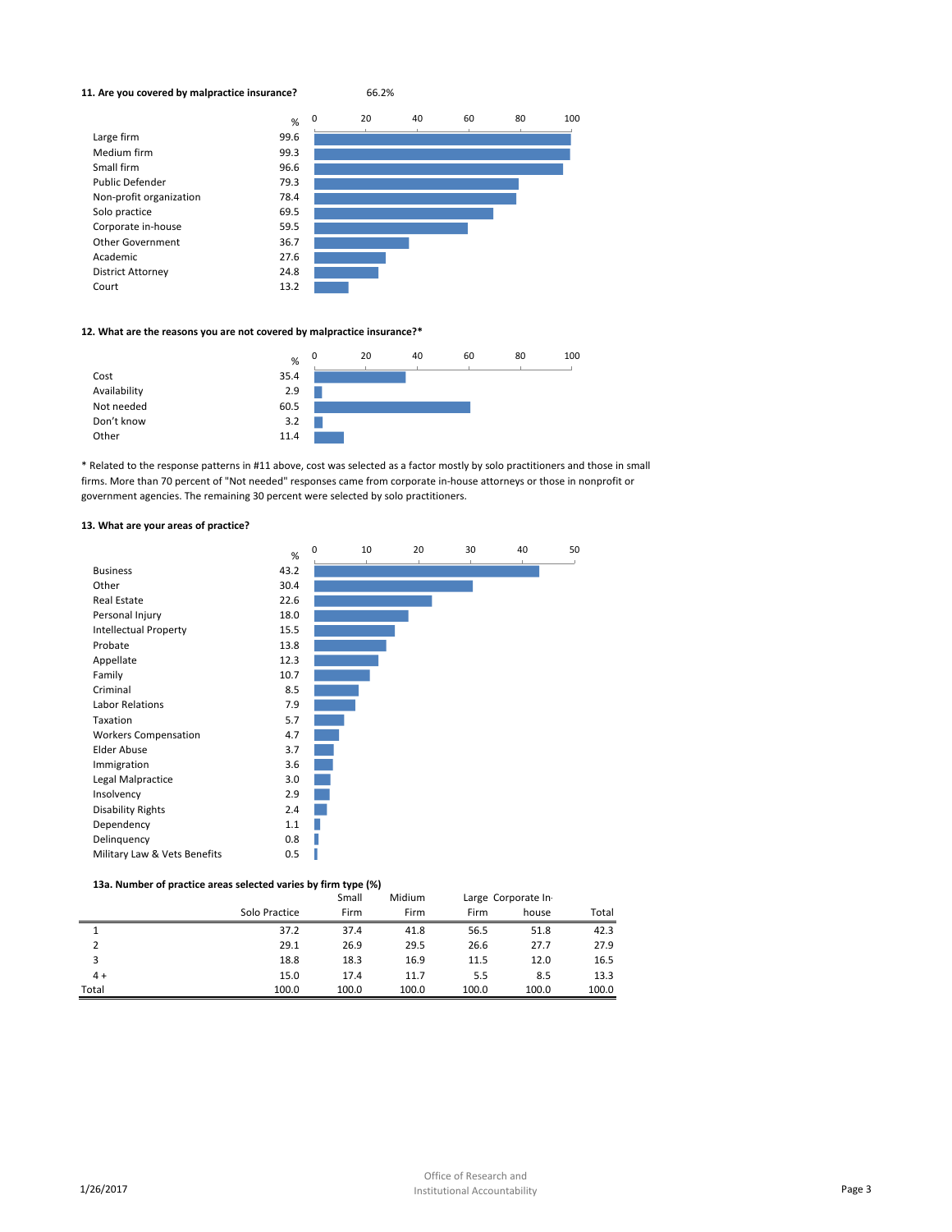#### **11. Are you covered by malpractice insurance?**



66.2%

#### **12. What are the reasons you are not covered by malpractice insurance?\***



\* Related to the response patterns in #11 above, cost was selected as a factor mostly by solo practitioners and those in small firms. More than 70 percent of "Not needed" responses came from corporate in-house attorneys or those in nonprofit or government agencies. The remaining 30 percent were selected by solo practitioners.

#### **13. What are your areas of practice?**

|                              | %    | $\mathbf 0$ | 10 | 20 | 30 | 40 | 50 |
|------------------------------|------|-------------|----|----|----|----|----|
| <b>Business</b>              | 43.2 |             |    |    |    |    |    |
| Other                        | 30.4 |             |    |    |    |    |    |
| Real Estate                  | 22.6 |             |    |    |    |    |    |
| Personal Injury              | 18.0 |             |    |    |    |    |    |
| <b>Intellectual Property</b> | 15.5 |             |    |    |    |    |    |
| Probate                      | 13.8 |             |    |    |    |    |    |
| Appellate                    | 12.3 |             |    |    |    |    |    |
| Family                       | 10.7 |             |    |    |    |    |    |
| Criminal                     | 8.5  |             |    |    |    |    |    |
| Labor Relations              | 7.9  |             |    |    |    |    |    |
| Taxation                     | 5.7  |             |    |    |    |    |    |
| <b>Workers Compensation</b>  | 4.7  |             |    |    |    |    |    |
| <b>Elder Abuse</b>           | 3.7  |             |    |    |    |    |    |
| Immigration                  | 3.6  |             |    |    |    |    |    |
| Legal Malpractice            | 3.0  |             |    |    |    |    |    |
| Insolvency                   | 2.9  |             |    |    |    |    |    |
| <b>Disability Rights</b>     | 2.4  |             |    |    |    |    |    |
| Dependency                   | 1.1  |             |    |    |    |    |    |
| Delinquency                  | 0.8  |             |    |    |    |    |    |
| Military Law & Vets Benefits | 0.5  |             |    |    |    |    |    |

## **13a. Number of practice areas selected varies by firm type (%)**

|       |               | Small | Midium |       | Large Corporate In- |       |
|-------|---------------|-------|--------|-------|---------------------|-------|
|       | Solo Practice | Firm  | Firm   | Firm  | house               | Total |
|       | 37.2          | 37.4  | 41.8   | 56.5  | 51.8                | 42.3  |
| 2     | 29.1          | 26.9  | 29.5   | 26.6  | 27.7                | 27.9  |
| 3     | 18.8          | 18.3  | 16.9   | 11.5  | 12.0                | 16.5  |
| $4+$  | 15.0          | 17.4  | 11.7   | 5.5   | 8.5                 | 13.3  |
| Total | 100.0         | 100.0 | 100.0  | 100.0 | 100.0               | 100.0 |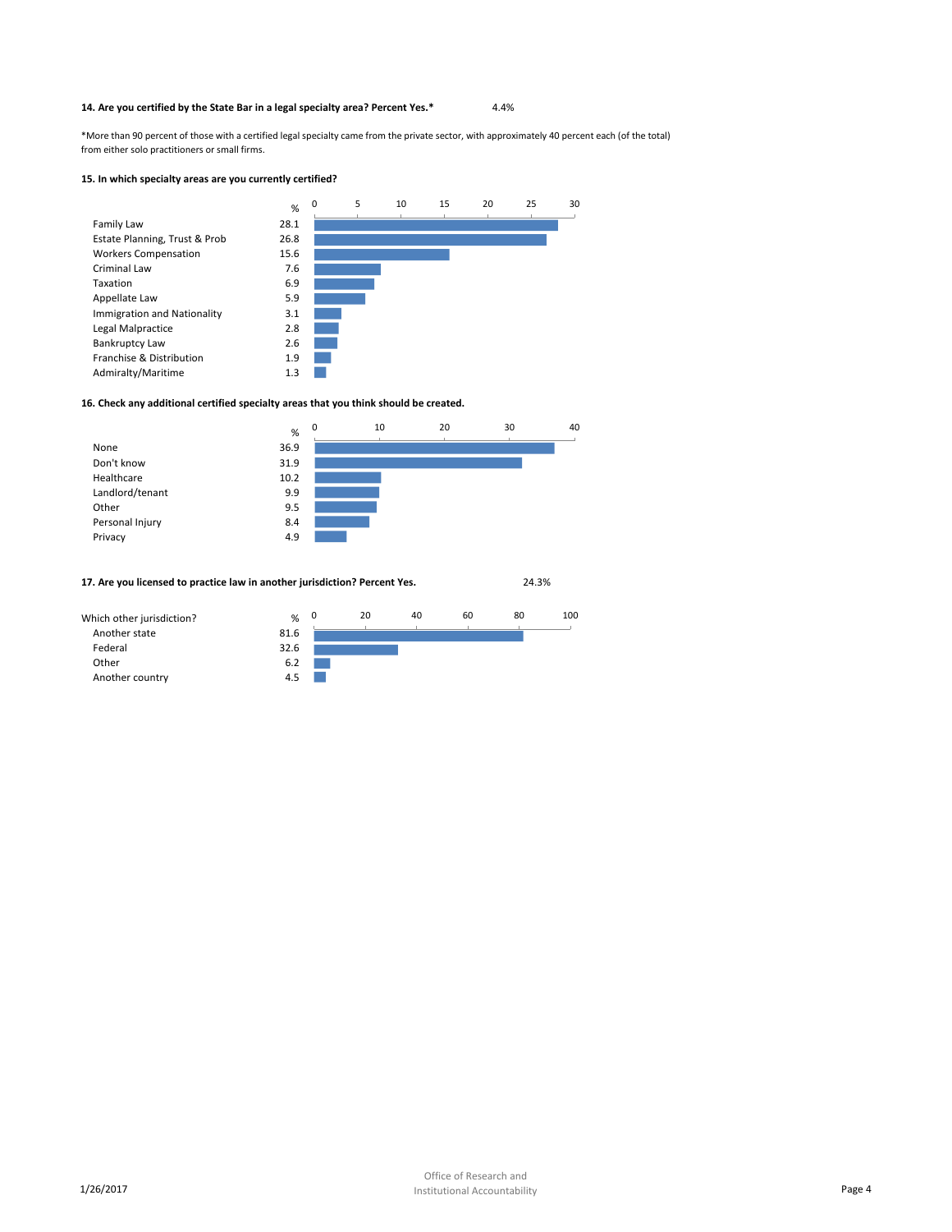#### **14. Are you certified by the State Bar in a legal specialty area? Percent Yes.\*** 4.4%

\*More than 90 percent of those with a certified legal specialty came from the private sector, with approximately 40 percent each (of the total) from either solo practitioners or small firms.

#### **15. In which specialty areas are you currently certified?**



# **16. Check any additional certified specialty areas that you think should be created.**



#### **17. Are you licensed to practice law in another jurisdiction? Percent Yes.** 24.3%

| Which other jurisdiction? | %    | 0 | 20 | 40 | 60 | 80 | 100 |
|---------------------------|------|---|----|----|----|----|-----|
| Another state             | 81.6 |   |    |    |    |    |     |
| Federal                   | 32.6 |   |    |    |    |    |     |
| Other                     | 6.2  |   |    |    |    |    |     |
| Another country           | 4.5  |   |    |    |    |    |     |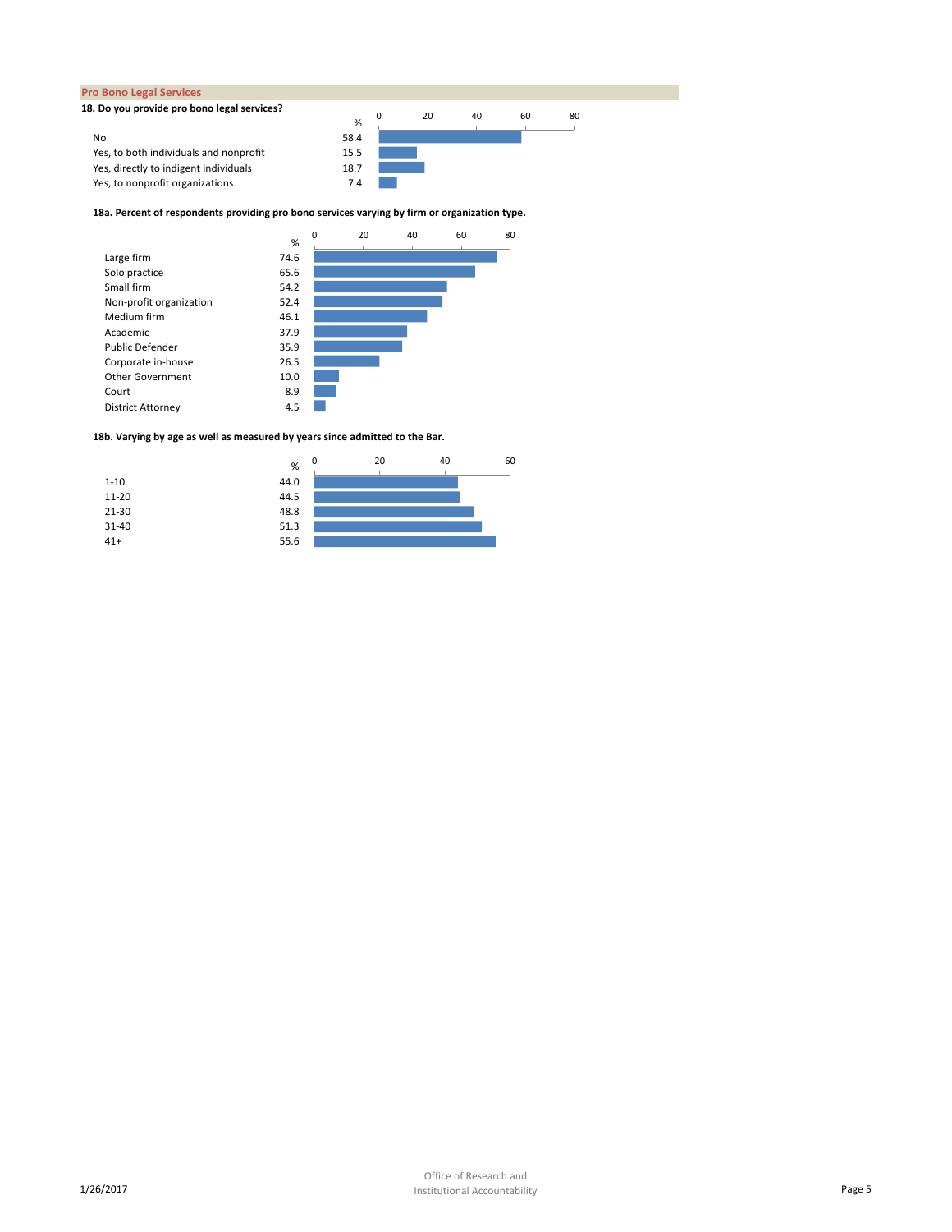# **Pro Bono Legal Services**



# **18a. Percent of respondents providing pro bono services varying by firm or organization type.**



# **18b. Varying by age as well as measured by years since admitted to the Bar.**

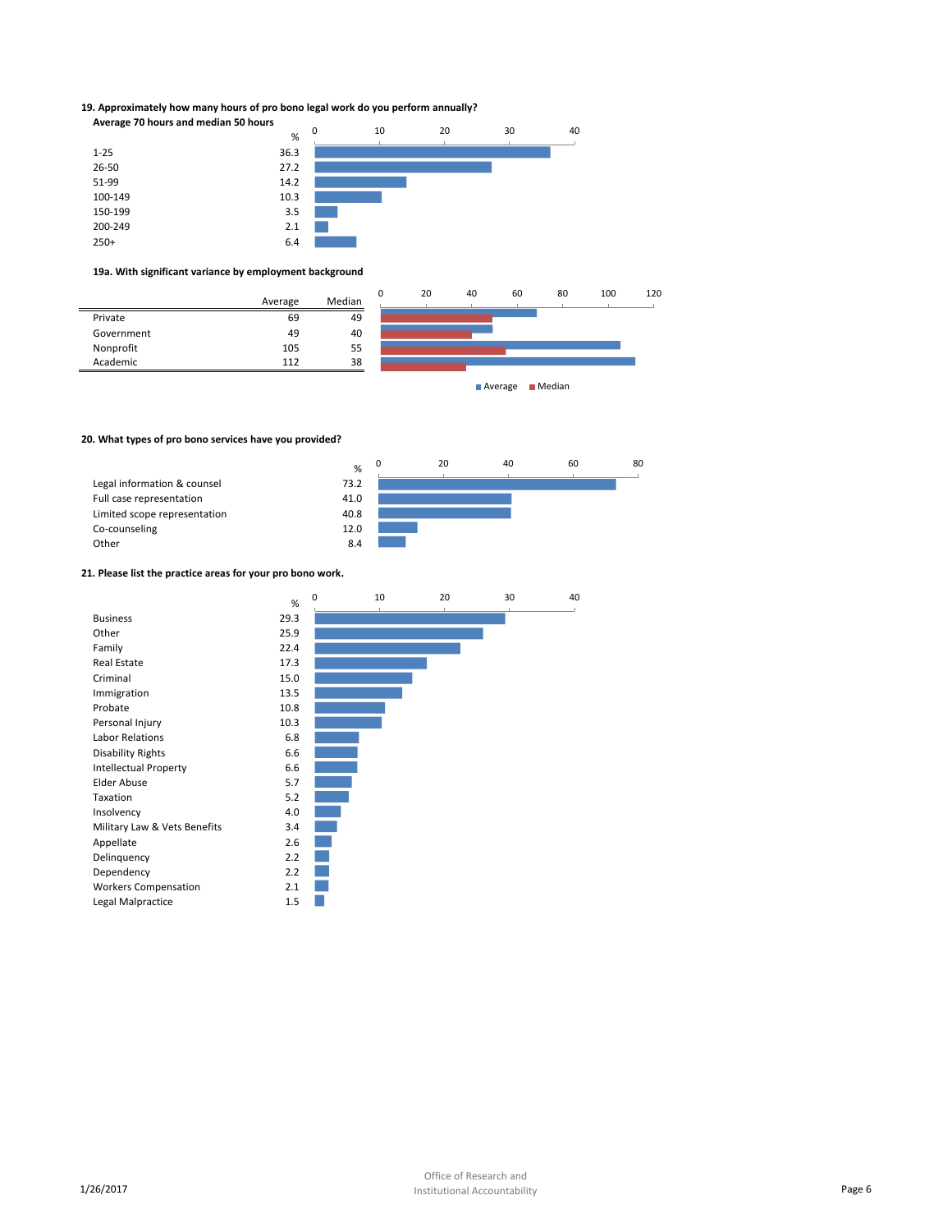### **19. Approximately how many hours of pro bono legal work do you perform annually?**



#### **19a. With significant variance by employment background**



Average **Median** 

#### **20. What types of pro bono services have you provided?**



#### **21. Please list the practice areas for your pro bono work.**

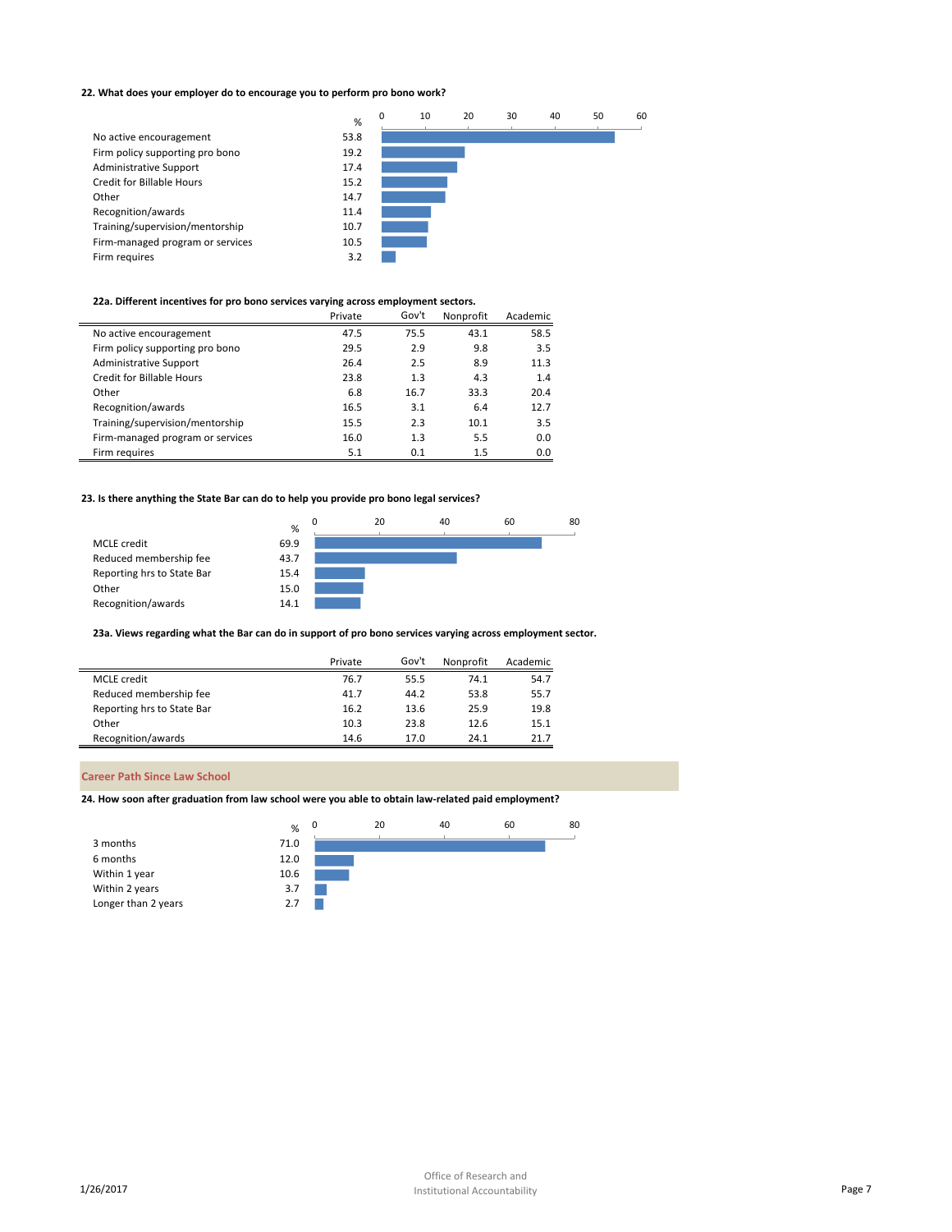# **22. What does your employer do to encourage you to perform pro bono work?**

|                                  | %    | $\Omega$ | 10 | 20 | 30 | 40 | 50 | 60 |
|----------------------------------|------|----------|----|----|----|----|----|----|
|                                  |      |          |    |    |    |    |    |    |
| No active encouragement          | 53.8 |          |    |    |    |    |    |    |
| Firm policy supporting pro bono  | 19.2 |          |    |    |    |    |    |    |
| <b>Administrative Support</b>    | 17.4 |          |    |    |    |    |    |    |
| <b>Credit for Billable Hours</b> | 15.2 |          |    |    |    |    |    |    |
| Other                            | 14.7 |          |    |    |    |    |    |    |
| Recognition/awards               | 11.4 |          |    |    |    |    |    |    |
| Training/supervision/mentorship  | 10.7 |          |    |    |    |    |    |    |
| Firm-managed program or services | 10.5 |          |    |    |    |    |    |    |
| Firm requires                    | 3.2  |          |    |    |    |    |    |    |

#### **22a. Different incentives for pro bono services varying across employment sectors.**

|                                  | Private | Gov't | Nonprofit | Academic |
|----------------------------------|---------|-------|-----------|----------|
| No active encouragement          | 47.5    | 75.5  | 43.1      | 58.5     |
| Firm policy supporting pro bono  | 29.5    | 2.9   | 9.8       | 3.5      |
| <b>Administrative Support</b>    | 26.4    | 2.5   | 8.9       | 11.3     |
| Credit for Billable Hours        | 23.8    | 1.3   | 4.3       | 1.4      |
| Other                            | 6.8     | 16.7  | 33.3      | 20.4     |
| Recognition/awards               | 16.5    | 3.1   | 6.4       | 12.7     |
| Training/supervision/mentorship  | 15.5    | 2.3   | 10.1      | 3.5      |
| Firm-managed program or services | 16.0    | 1.3   | 5.5       | 0.0      |
| Firm requires                    | 5.1     | 0.1   | 1.5       | 0.0      |

# **23. Is there anything the State Bar can do to help you provide pro bono legal services?**



**23a. Views regarding what the Bar can do in support of pro bono services varying across employment sector.**

|                            | Private | Gov't | Nonprofit | Academic |
|----------------------------|---------|-------|-----------|----------|
| <b>MCLE</b> credit         | 76.7    | 55.5  | 74.1      | 54.7     |
| Reduced membership fee     | 41.7    | 44.2  | 53.8      | 55.7     |
| Reporting hrs to State Bar | 16.2    | 13.6  | 25.9      | 19.8     |
| Other                      | 10.3    | 23.8  | 12.6      | 15.1     |
| Recognition/awards         | 14.6    | 17.0  | 24.1      | 21.7     |

#### **Career Path Since Law School**

L.

**24. How soon after graduation from law school were you able to obtain law-related paid employment?**

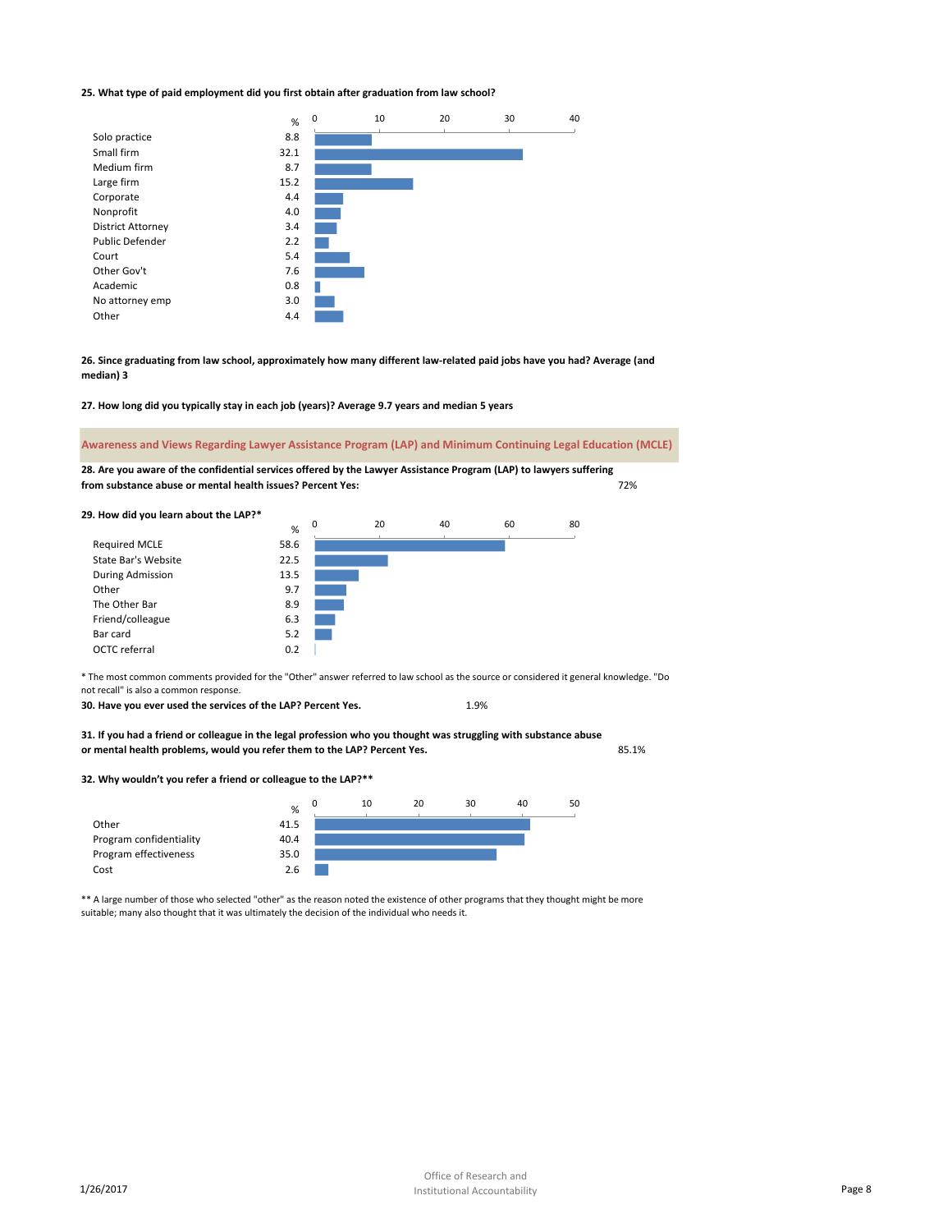#### **25. What type of paid employment did you first obtain after graduation from law school?**



**26. Since graduating from law school, approximately how many different law-related paid jobs have you had? Average (and median) 3**

**27. How long did you typically stay in each job (years)? Average 9.7 years and median 5 years**

**Awareness and Views Regarding Lawyer Assistance Program (LAP) and Minimum Continuing Legal Education (MCLE)**

72% **28. Are you aware of the confidential services offered by the Lawyer Assistance Program (LAP) to lawyers suffering from substance abuse or mental health issues? Percent Yes:**

**29. How did you learn about the LAP?\***



\* The most common comments provided for the "Other" answer referred to law school as the source or considered it general knowledge. "Do

not recall" is also a common response.

| 1.9% |  |
|------|--|
|      |  |

85.1% **31. If you had a friend or colleague in the legal profession who you thought was struggling with substance abuse or mental health problems, would you refer them to the LAP? Percent Yes.**

#### **32. Why wouldn't you refer a friend or colleague to the LAP?\*\***



\*\* A large number of those who selected "other" as the reason noted the existence of other programs that they thought might be more suitable; many also thought that it was ultimately the decision of the individual who needs it.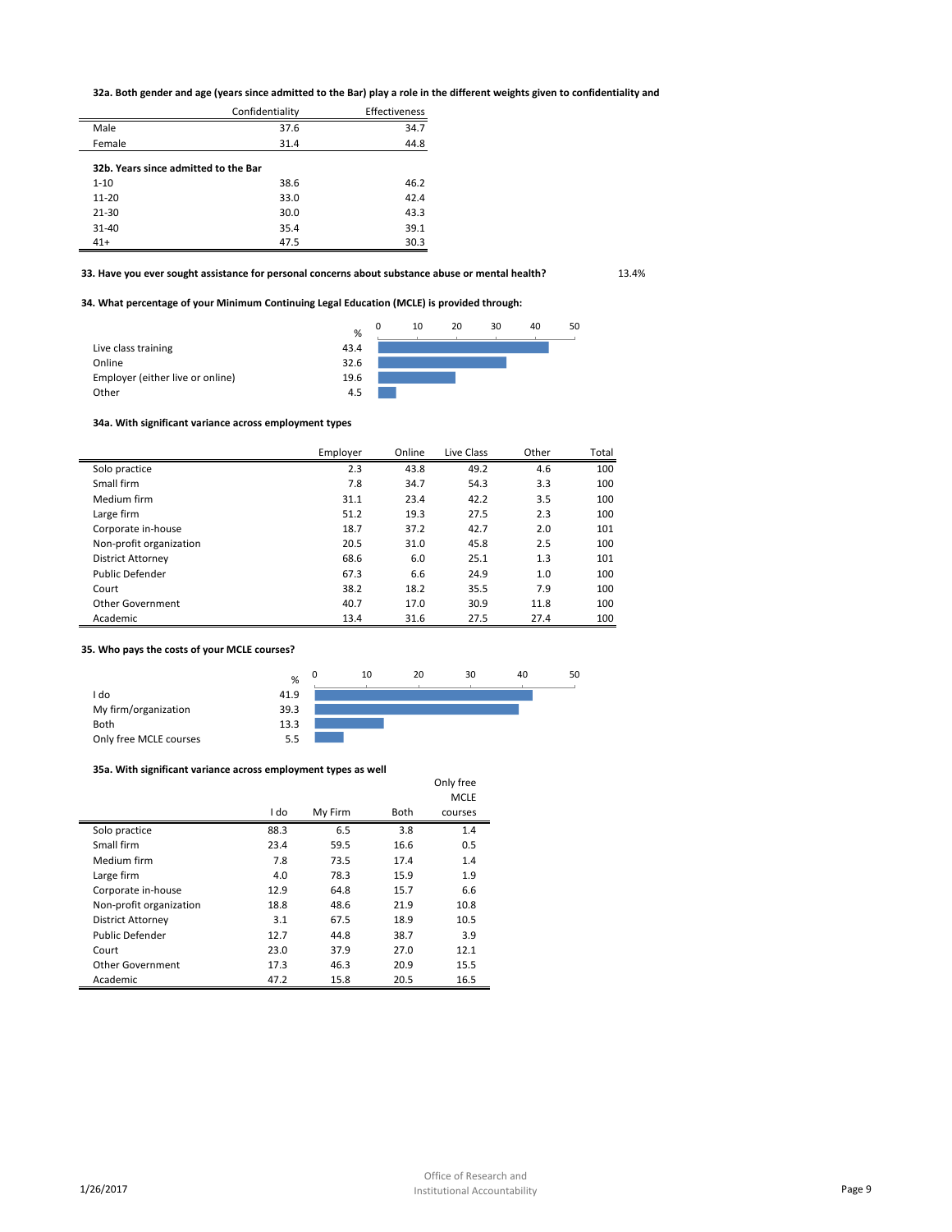**32a. Both gender and age (years since admitted to the Bar) play a role in the different weights given to confidentiality and** 

|                                      | Confidentiality | Effectiveness |
|--------------------------------------|-----------------|---------------|
| Male                                 | 37.6            | 34.7          |
| Female                               | 31.4            | 44.8          |
| 32b. Years since admitted to the Bar |                 |               |
| $1 - 10$                             | 38.6            | 46.2          |
| $11 - 20$                            | 33.0            | 42.4          |
| $21 - 30$                            | 30.0            | 43.3          |
| $31 - 40$                            | 35.4            | 39.1          |
| $41+$                                | 47.5            | 30.3          |

**33. Have you ever sought assistance for personal concerns about substance abuse or mental health?** 13.4%

**34. What percentage of your Minimum Continuing Legal Education (MCLE) is provided through:**



#### **34a. With significant variance across employment types**

|                          | Employer | Online | Live Class | Other | Total |
|--------------------------|----------|--------|------------|-------|-------|
| Solo practice            | 2.3      | 43.8   | 49.2       | 4.6   | 100   |
| Small firm               | 7.8      | 34.7   | 54.3       | 3.3   | 100   |
| Medium firm              | 31.1     | 23.4   | 42.2       | 3.5   | 100   |
| Large firm               | 51.2     | 19.3   | 27.5       | 2.3   | 100   |
| Corporate in-house       | 18.7     | 37.2   | 42.7       | 2.0   | 101   |
| Non-profit organization  | 20.5     | 31.0   | 45.8       | 2.5   | 100   |
| <b>District Attorney</b> | 68.6     | 6.0    | 25.1       | 1.3   | 101   |
| Public Defender          | 67.3     | 6.6    | 24.9       | 1.0   | 100   |
| Court                    | 38.2     | 18.2   | 35.5       | 7.9   | 100   |
| Other Government         | 40.7     | 17.0   | 30.9       | 11.8  | 100   |
| Academic                 | 13.4     | 31.6   | 27.5       | 27.4  | 100   |

#### **35. Who pays the costs of your MCLE courses?**



# **35a. With significant variance across employment types as well**

|                          |      |         |             | Only free   |  |
|--------------------------|------|---------|-------------|-------------|--|
|                          |      |         |             | <b>MCLE</b> |  |
|                          | I do | My Firm | <b>Both</b> | courses     |  |
| Solo practice            | 88.3 | 6.5     | 3.8         | 1.4         |  |
| Small firm               | 23.4 | 59.5    | 16.6        | 0.5         |  |
| Medium firm              | 7.8  | 73.5    | 17.4        | 1.4         |  |
| Large firm               | 4.0  | 78.3    | 15.9        | 1.9         |  |
| Corporate in-house       | 12.9 | 64.8    | 15.7        | 6.6         |  |
| Non-profit organization  | 18.8 | 48.6    | 21.9        | 10.8        |  |
| <b>District Attorney</b> | 3.1  | 67.5    | 18.9        | 10.5        |  |
| Public Defender          | 12.7 | 44.8    | 38.7        | 3.9         |  |
| Court                    | 23.0 | 37.9    | 27.0        | 12.1        |  |
| Other Government         | 17.3 | 46.3    | 20.9        | 15.5        |  |
| Academic                 | 47.2 | 15.8    | 20.5        | 16.5        |  |

Only free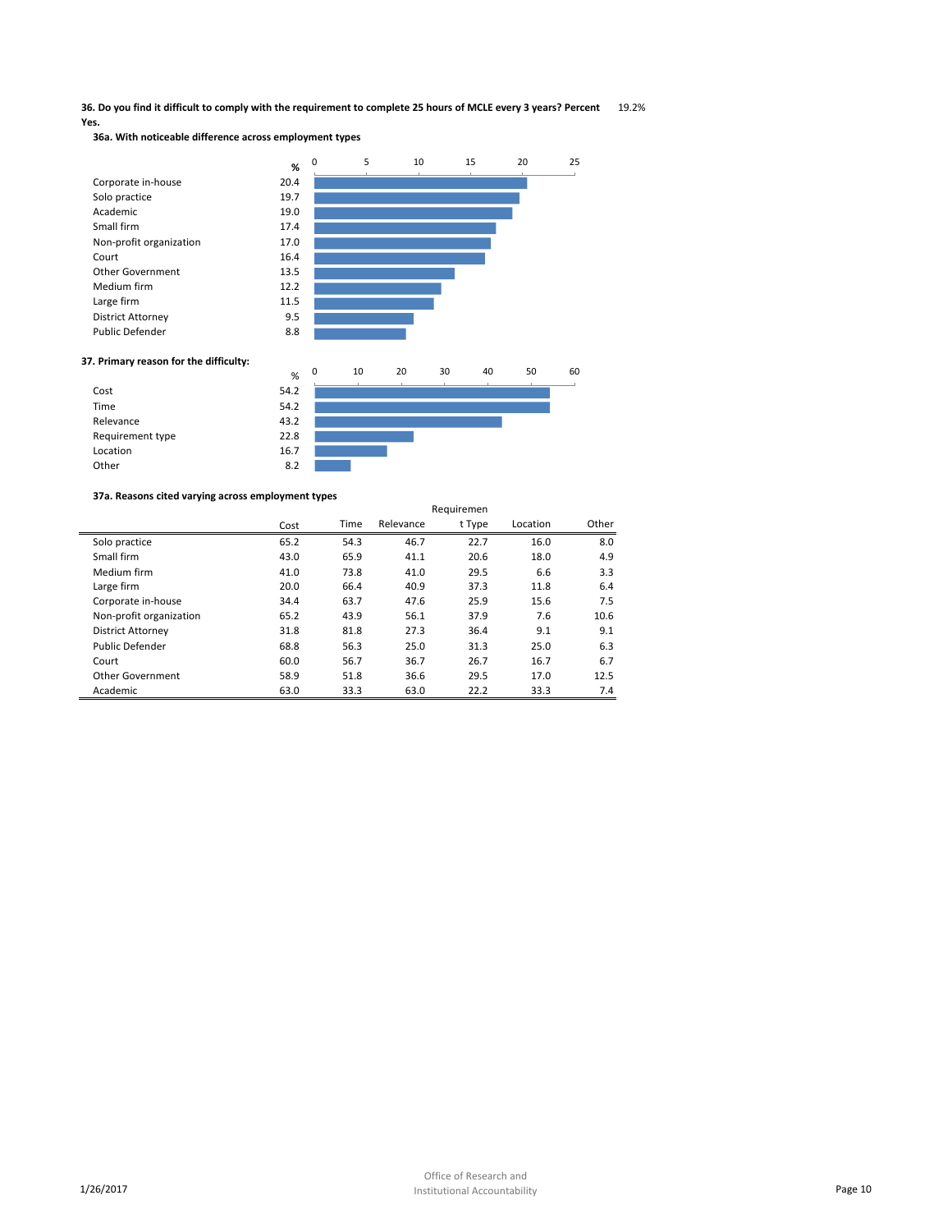19.2% **36. Do you find it difficult to comply with the requirement to complete 25 hours of MCLE every 3 years? Percent Yes.**

**36a. With noticeable difference across employment types**



# **37a. Reasons cited varying across employment types**

Ē,

 $\overline{a}$ 

|                          | Requiremen |      |           |        |          |       |  |  |
|--------------------------|------------|------|-----------|--------|----------|-------|--|--|
|                          | Cost       | Time | Relevance | t Type | Location | Other |  |  |
| Solo practice            | 65.2       | 54.3 | 46.7      | 22.7   | 16.0     | 8.0   |  |  |
| Small firm               | 43.0       | 65.9 | 41.1      | 20.6   | 18.0     | 4.9   |  |  |
| Medium firm              | 41.0       | 73.8 | 41.0      | 29.5   | 6.6      | 3.3   |  |  |
| Large firm               | 20.0       | 66.4 | 40.9      | 37.3   | 11.8     | 6.4   |  |  |
| Corporate in-house       | 34.4       | 63.7 | 47.6      | 25.9   | 15.6     | 7.5   |  |  |
| Non-profit organization  | 65.2       | 43.9 | 56.1      | 37.9   | 7.6      | 10.6  |  |  |
| <b>District Attorney</b> | 31.8       | 81.8 | 27.3      | 36.4   | 9.1      | 9.1   |  |  |
| Public Defender          | 68.8       | 56.3 | 25.0      | 31.3   | 25.0     | 6.3   |  |  |
| Court                    | 60.0       | 56.7 | 36.7      | 26.7   | 16.7     | 6.7   |  |  |
| Other Government         | 58.9       | 51.8 | 36.6      | 29.5   | 17.0     | 12.5  |  |  |
| Academic                 | 63.0       | 33.3 | 63.0      | 22.2   | 33.3     | 7.4   |  |  |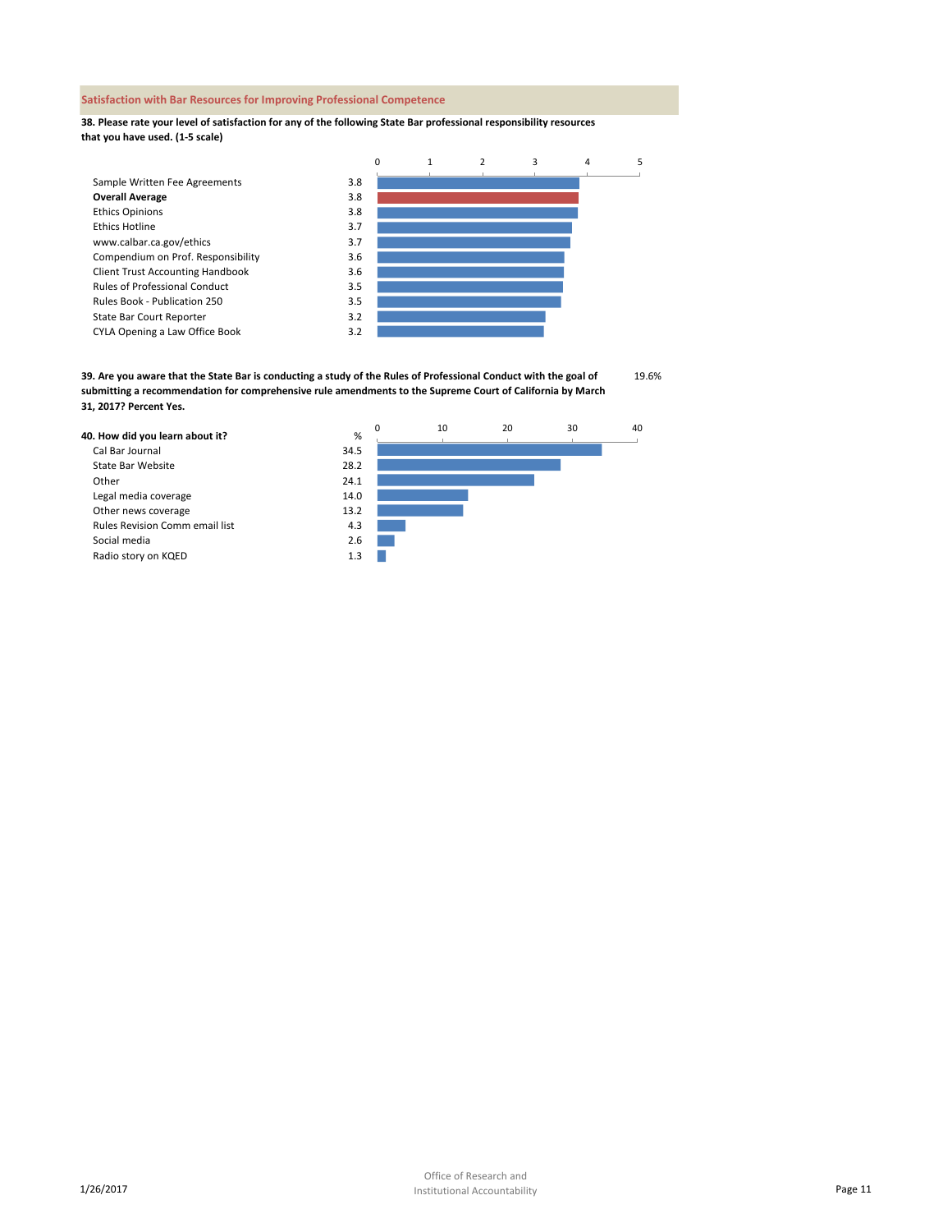#### **Satisfaction with Bar Resources for Improving Professional Competence**

**38. Please rate your level of satisfaction for any of the following State Bar professional responsibility resources that you have used. (1-5 scale)**



19.6% **39. Are you aware that the State Bar is conducting a study of the Rules of Professional Conduct with the goal of submitting a recommendation for comprehensive rule amendments to the Supreme Court of California by March 31, 2017? Percent Yes.**

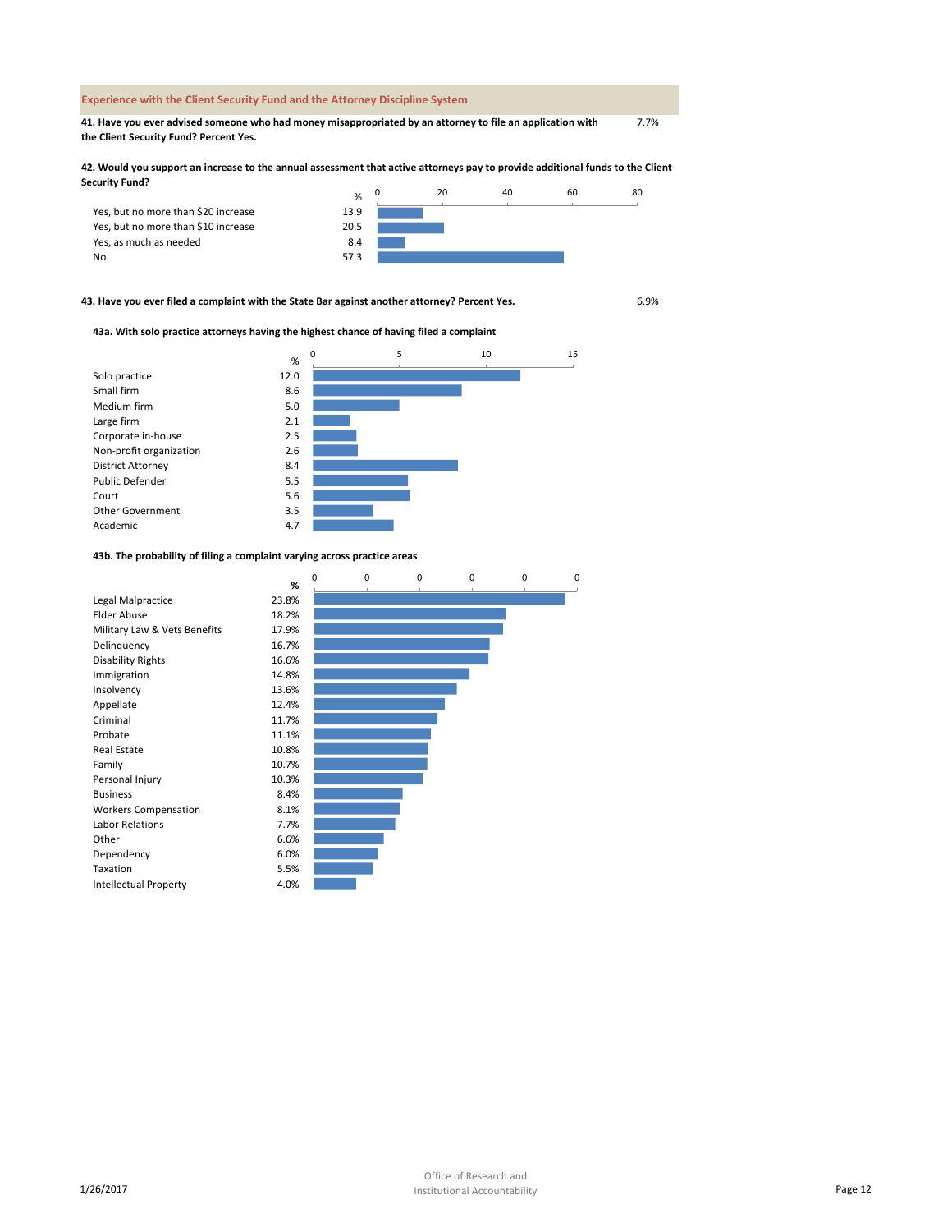| <b>Experience with the Client Security Fund and the Attorney Discipline System</b>                                                                   |      |
|------------------------------------------------------------------------------------------------------------------------------------------------------|------|
| 41. Have you ever advised someone who had money misappropriated by an attorney to file an application with<br>the Client Security Fund? Percent Yes. | 7.7% |

**42. Would you support an increase to the annual assessment that active attorneys pay to provide additional funds to the Client Security Fund?**



**43. Have you ever filed a complaint with the State Bar against another attorney? Percent Yes.** 6.9%

# **43a. With solo practice attorneys having the highest chance of having filed a complaint**



# **43b. The probability of filing a complaint varying across practice areas**

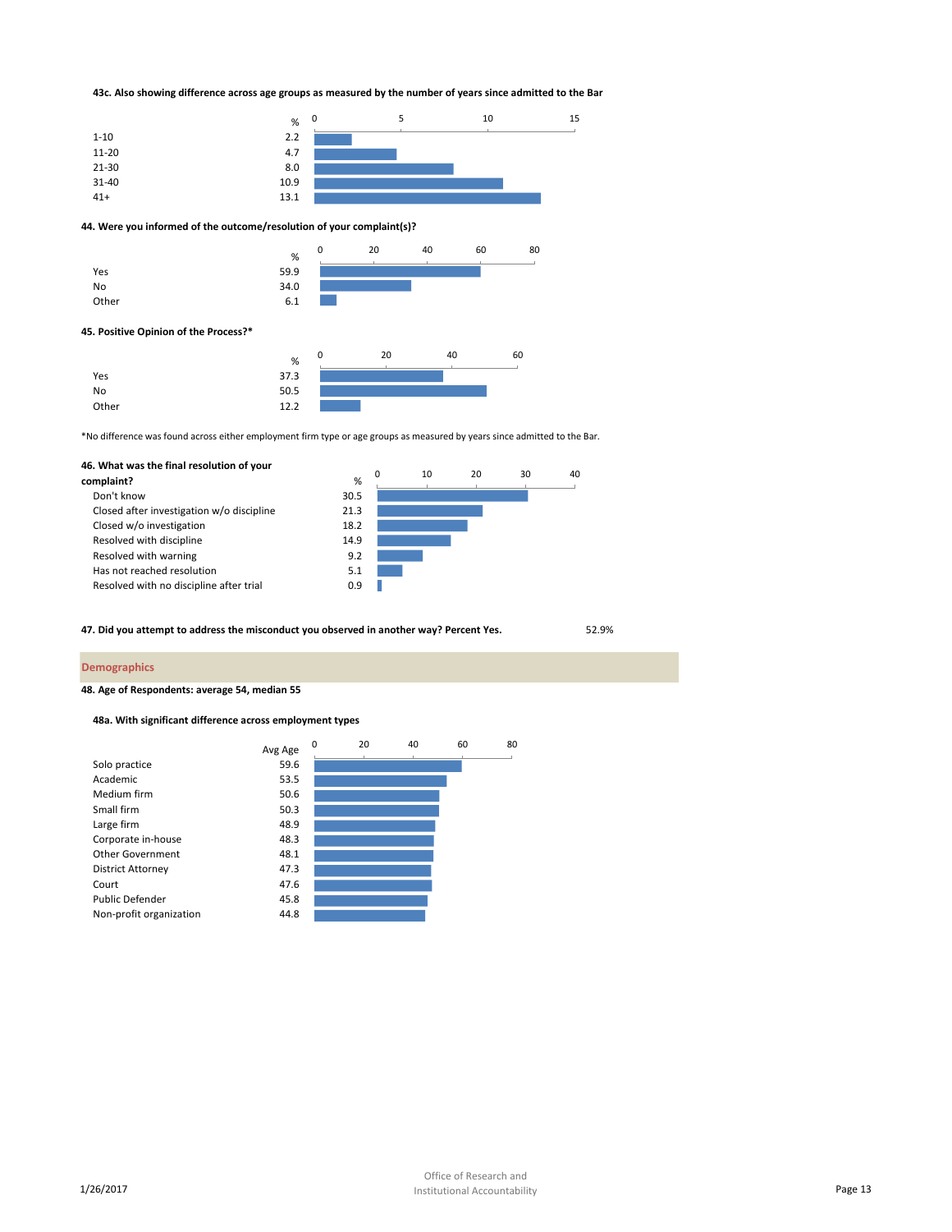#### **43c. Also showing difference across age groups as measured by the number of years since admitted to the Bar**



#### **44. Were you informed of the outcome/resolution of your complaint(s)?**





\*No difference was found across either employment firm type or age groups as measured by years since admitted to the Bar.



**47. Did you attempt to address the misconduct you observed in another way? Percent Yes.** 52.9%

# **Demographics**

**48. Age of Respondents: average 54, median 55**

# **48a. With significant difference across employment types**

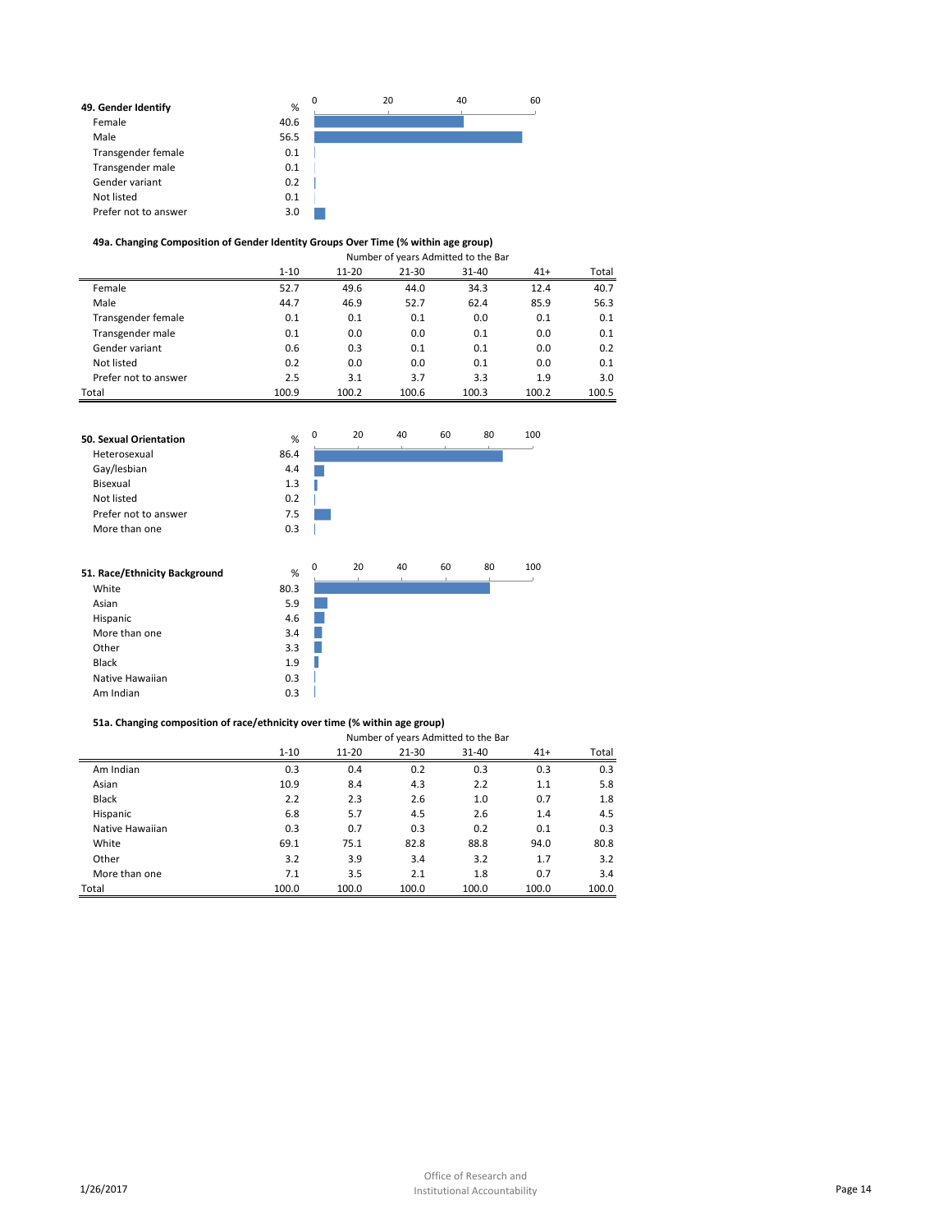| 49. Gender Identify  | 0<br>% | 20 | 40 | 60 |
|----------------------|--------|----|----|----|
| Female               | 40.6   |    |    |    |
| Male                 | 56.5   |    |    |    |
| Transgender female   | 0.1    |    |    |    |
| Transgender male     | 0.1    |    |    |    |
| Gender variant       | 0.2    |    |    |    |
| Not listed           | 0.1    |    |    |    |
| Prefer not to answer | 3.0    |    |    |    |
|                      |        |    |    |    |

#### **49a. Changing Composition of Gender Identity Groups Over Time (% within age group)**

|                      | Number of years Admitted to the Bar |           |           |       |       |       |  |  |  |
|----------------------|-------------------------------------|-----------|-----------|-------|-------|-------|--|--|--|
|                      | $1 - 10$                            | $11 - 20$ | $21 - 30$ | 31-40 | $41+$ | Total |  |  |  |
| Female               | 52.7                                | 49.6      | 44.0      | 34.3  | 12.4  | 40.7  |  |  |  |
| Male                 | 44.7                                | 46.9      | 52.7      | 62.4  | 85.9  | 56.3  |  |  |  |
| Transgender female   | 0.1                                 | 0.1       | 0.1       | 0.0   | 0.1   | 0.1   |  |  |  |
| Transgender male     | 0.1                                 | 0.0       | 0.0       | 0.1   | 0.0   | 0.1   |  |  |  |
| Gender variant       | 0.6                                 | 0.3       | 0.1       | 0.1   | 0.0   | 0.2   |  |  |  |
| Not listed           | 0.2                                 | 0.0       | 0.0       | 0.1   | 0.0   | 0.1   |  |  |  |
| Prefer not to answer | 2.5                                 | 3.1       | 3.7       | 3.3   | 1.9   | 3.0   |  |  |  |
| Total                | 100.9                               | 100.2     | 100.6     | 100.3 | 100.2 | 100.5 |  |  |  |



#### **51a. Changing composition of race/ethnicity over time (% within age group)\***

|                 | Number of years Admitted to the Bar |           |           |           |       |       |  |  |
|-----------------|-------------------------------------|-----------|-----------|-----------|-------|-------|--|--|
|                 | $1 - 10$                            | $11 - 20$ | $21 - 30$ | $31 - 40$ | $41+$ | Total |  |  |
| Am Indian       | 0.3                                 | 0.4       | 0.2       | 0.3       | 0.3   | 0.3   |  |  |
| Asian           | 10.9                                | 8.4       | 4.3       | 2.2       | 1.1   | 5.8   |  |  |
| <b>Black</b>    | 2.2                                 | 2.3       | 2.6       | 1.0       | 0.7   | 1.8   |  |  |
| Hispanic        | 6.8                                 | 5.7       | 4.5       | 2.6       | 1.4   | 4.5   |  |  |
| Native Hawaiian | 0.3                                 | 0.7       | 0.3       | 0.2       | 0.1   | 0.3   |  |  |
| White           | 69.1                                | 75.1      | 82.8      | 88.8      | 94.0  | 80.8  |  |  |
| Other           | 3.2                                 | 3.9       | 3.4       | 3.2       | 1.7   | 3.2   |  |  |
| More than one   | 7.1                                 | 3.5       | 2.1       | 1.8       | 0.7   | 3.4   |  |  |
| Total           | 100.0                               | 100.0     | 100.0     | 100.0     | 100.0 | 100.0 |  |  |

| AV. |  |                                                                                                                                                                                                                                             |  |  |  | 1990년 1월 1일 : 1월 1일 : 1월 1일 : 1월 1일 : 1월 1일 : 1월 1일 : 1월 1일 : 1월 1일 : 1월 1일 : 1월 1일 : 1월 1일 : 1월 1일 : 1월 1일 :                                                                                                                                                                                                                      |  |
|-----|--|---------------------------------------------------------------------------------------------------------------------------------------------------------------------------------------------------------------------------------------------|--|--|--|------------------------------------------------------------------------------------------------------------------------------------------------------------------------------------------------------------------------------------------------------------------------------------------------------------------------------------|--|
|     |  | the contract of the contract of the contract of the contract of the contract of                                                                                                                                                             |  |  |  | $\overline{\omega}$ and $\omega$ and $\omega$ and $\omega$ and $\omega$ and $\omega$ and $\omega$ and $\omega$ and $\omega$ and $\omega$ and $\omega$ and $\omega$ and $\omega$ and $\omega$ and $\omega$ and $\omega$ and $\omega$ and $\omega$ and $\omega$ and $\omega$ and $\omega$ and $\omega$ and $\omega$ and $\omega$ and |  |
|     |  |                                                                                                                                                                                                                                             |  |  |  | where the contract of the contract of the contract of $\alpha$ and $\alpha$ and $\alpha$ and $\alpha$ and $\alpha$ and $\alpha$ and $\alpha$                                                                                                                                                                                       |  |
|     |  | $\mathcal{A}$ is a set of the set of $\mathbf{u}$ and $\mathcal{A}$ is a set of the set of the set of the set of the set of the set of the set of the set of the set of the set of the set of the set of the set of the set of the set of t |  |  |  | Because not all attorneys                                                                                                                                                                                                                                                                                                          |  |
|     |  | provided information on the date of admission $\varpi$                                                                                                                                                                                      |  |  |  | than Itam 51                                                                                                                                                                                                                                                                                                                       |  |

*provided information on the date of admission, /ƚĞŵϱϭĂŝƐďĂƐĞĚŽŶĂƐŵĂůůĞƌŶƵŵďĞƌŽĨƌĞƐƉŽŶƐĞƐ than Item 51͕ĐĂƵƐŝŶŐƐůŝŐŚƚ*  $\theta$ <sup>γ</sup>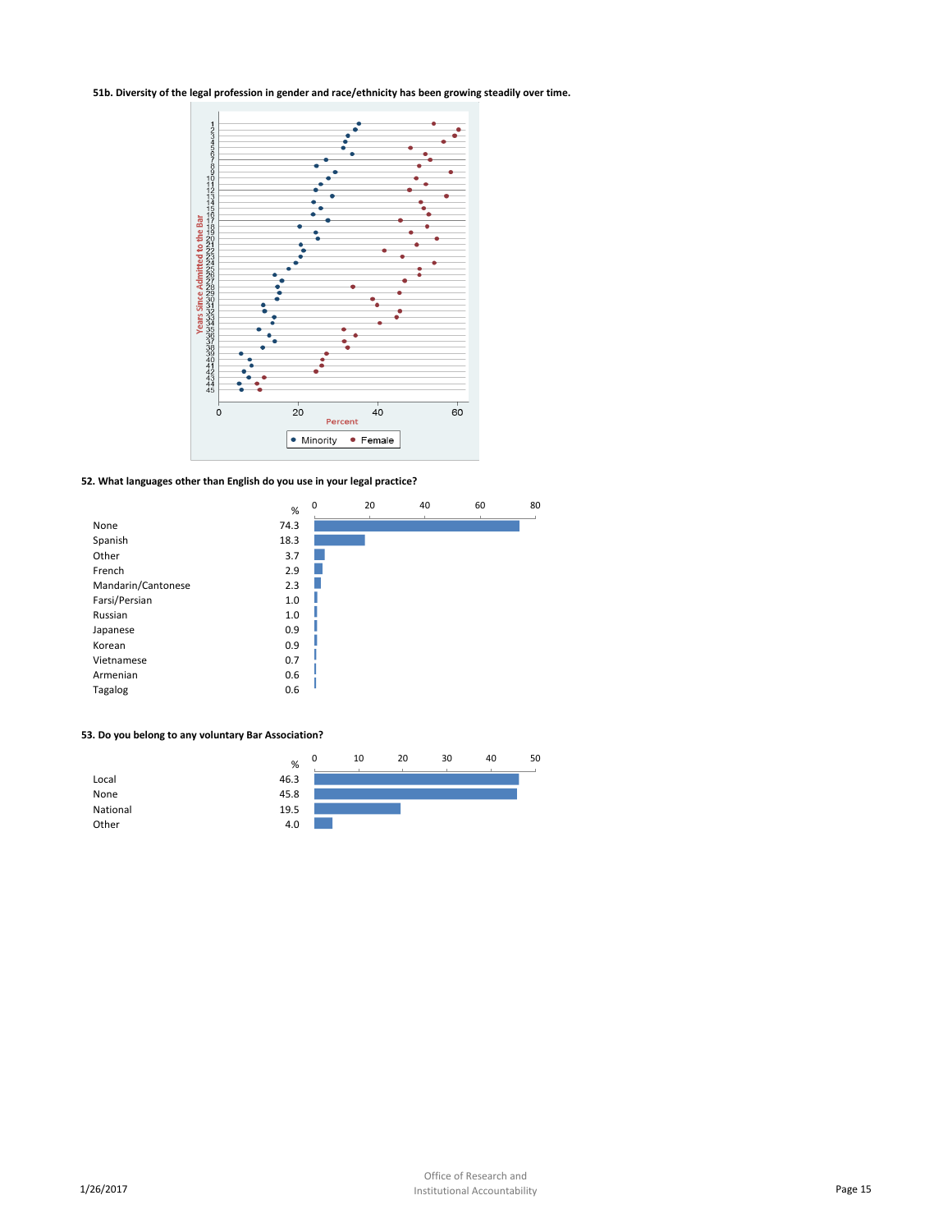# **51b. Diversity of the legal profession in gender and race/ethnicity has been growing steadily over time.**



# **52. What languages other than English do you use in your legal practice?**



# **53. Do you belong to any voluntary Bar Association?**

|                  | υ<br>% | 10 | 20 | 30 | 40 | 50 |
|------------------|--------|----|----|----|----|----|
|                  |        |    |    |    |    |    |
| 46.3<br>Local    |        |    |    |    |    |    |
| 45.8<br>None     |        |    |    |    |    |    |
| 19.5<br>National |        |    |    |    |    |    |
| Other<br>4.0     |        |    |    |    |    |    |